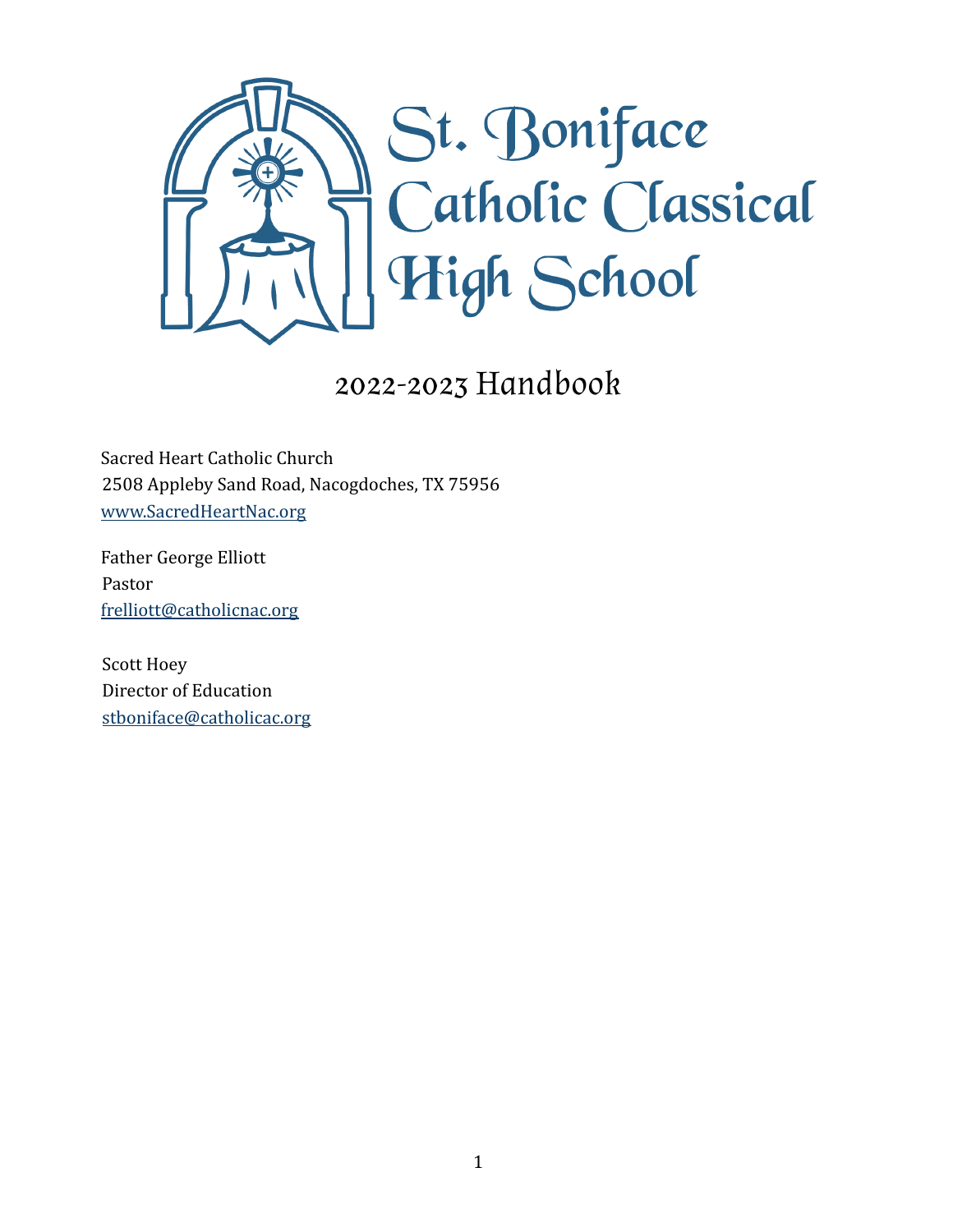

## 2022-2023 Handbook

Sacred Heart Catholic Church 2508 Appleby Sand Road, Nacogdoches, TX 75956 [www.SacredHeartNac.org](http://www.sacredheartnac.org)

Father George Elliott Pastor frelliott@catholicnac.org

Scott Hoey Director of Education [stboniface@catholicac.org](mailto:stboniface@catholicac.org)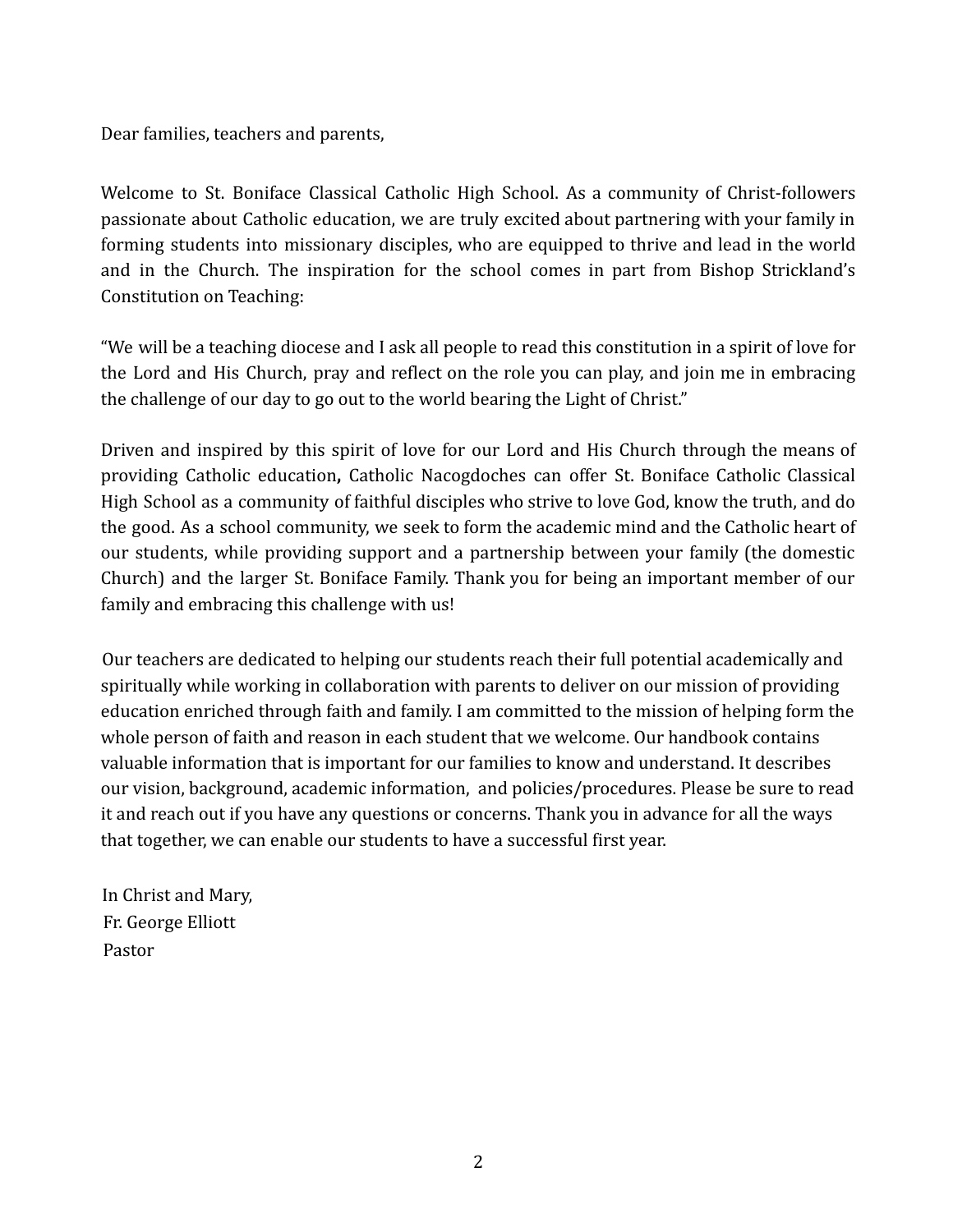Dear families, teachers and parents,

Welcome to St. Boniface Classical Catholic High School. As a community of Christ-followers passionate about Catholic education, we are truly excited about partnering with your family in forming students into missionary disciples, who are equipped to thrive and lead in the world and in the Church. The inspiration for the school comes in part from Bishop Strickland's Constitution on Teaching:

"We will be a teaching diocese and I ask all people to read this constitution in a spirit of love for the Lord and His Church, pray and reflect on the role you can play, and join me in embracing the challenge of our day to go out to the world bearing the Light of Christ."

Driven and inspired by this spirit of love for our Lord and His Church through the means of providing Catholic education**,** Catholic Nacogdoches can offer St. Boniface Catholic Classical High School as a community of faithful disciples who strive to love God, know the truth, and do the good. As a school community, we seek to form the academic mind and the Catholic heart of our students, while providing support and a partnership between your family (the domestic Church) and the larger St. Boniface Family. Thank you for being an important member of our family and embracing this challenge with us!

Our teachers are dedicated to helping our students reach their full potential academically and spiritually while working in collaboration with parents to deliver on our mission of providing education enriched through faith and family. I am committed to the mission of helping form the whole person of faith and reason in each student that we welcome. Our handbook contains valuable information that is important for our families to know and understand. It describes our vision, background, academic information, and policies/procedures. Please be sure to read it and reach out if you have any questions or concerns. Thank you in advance for all the ways that together, we can enable our students to have a successful first year.

In Christ and Mary, Fr. George Elliott Pastor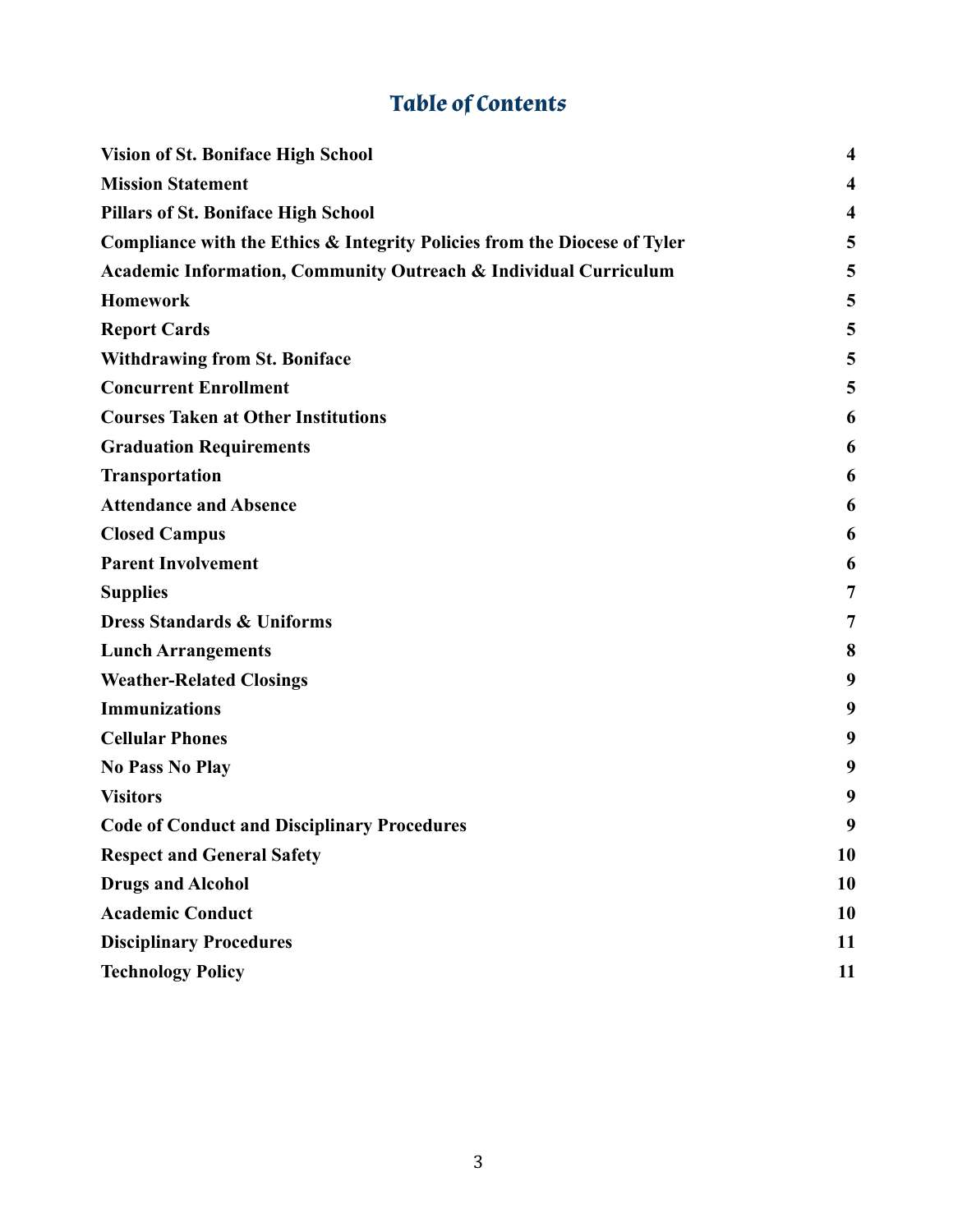## **Table of Contents**

<span id="page-2-0"></span>

| <b>Vision of St. Boniface High School</b>                                 | $\overline{\mathbf{4}}$ |
|---------------------------------------------------------------------------|-------------------------|
| <b>Mission Statement</b>                                                  | $\overline{\mathbf{4}}$ |
| <b>Pillars of St. Boniface High School</b>                                | $\overline{\mathbf{4}}$ |
| Compliance with the Ethics & Integrity Policies from the Diocese of Tyler | 5                       |
| Academic Information, Community Outreach & Individual Curriculum          | 5                       |
| <b>Homework</b>                                                           | 5                       |
| <b>Report Cards</b>                                                       | 5                       |
| <b>Withdrawing from St. Boniface</b>                                      | 5                       |
| <b>Concurrent Enrollment</b>                                              | 5                       |
| <b>Courses Taken at Other Institutions</b>                                | 6                       |
| <b>Graduation Requirements</b>                                            | 6                       |
| <b>Transportation</b>                                                     | 6                       |
| <b>Attendance and Absence</b>                                             | 6                       |
| <b>Closed Campus</b>                                                      | 6                       |
| <b>Parent Involvement</b>                                                 | 6                       |
| <b>Supplies</b>                                                           | 7                       |
| <b>Dress Standards &amp; Uniforms</b>                                     | 7                       |
| <b>Lunch Arrangements</b>                                                 | 8                       |
| <b>Weather-Related Closings</b>                                           | 9                       |
| <b>Immunizations</b>                                                      | 9                       |
| <b>Cellular Phones</b>                                                    | 9                       |
| <b>No Pass No Play</b>                                                    | 9                       |
| <b>Visitors</b>                                                           | 9                       |
| <b>Code of Conduct and Disciplinary Procedures</b>                        | 9                       |
| <b>Respect and General Safety</b>                                         | 10                      |
| <b>Drugs and Alcohol</b>                                                  | 10                      |
| <b>Academic Conduct</b>                                                   | 10                      |
| <b>Disciplinary Procedures</b>                                            | <b>11</b>               |
| <b>Technology Policy</b>                                                  | 11                      |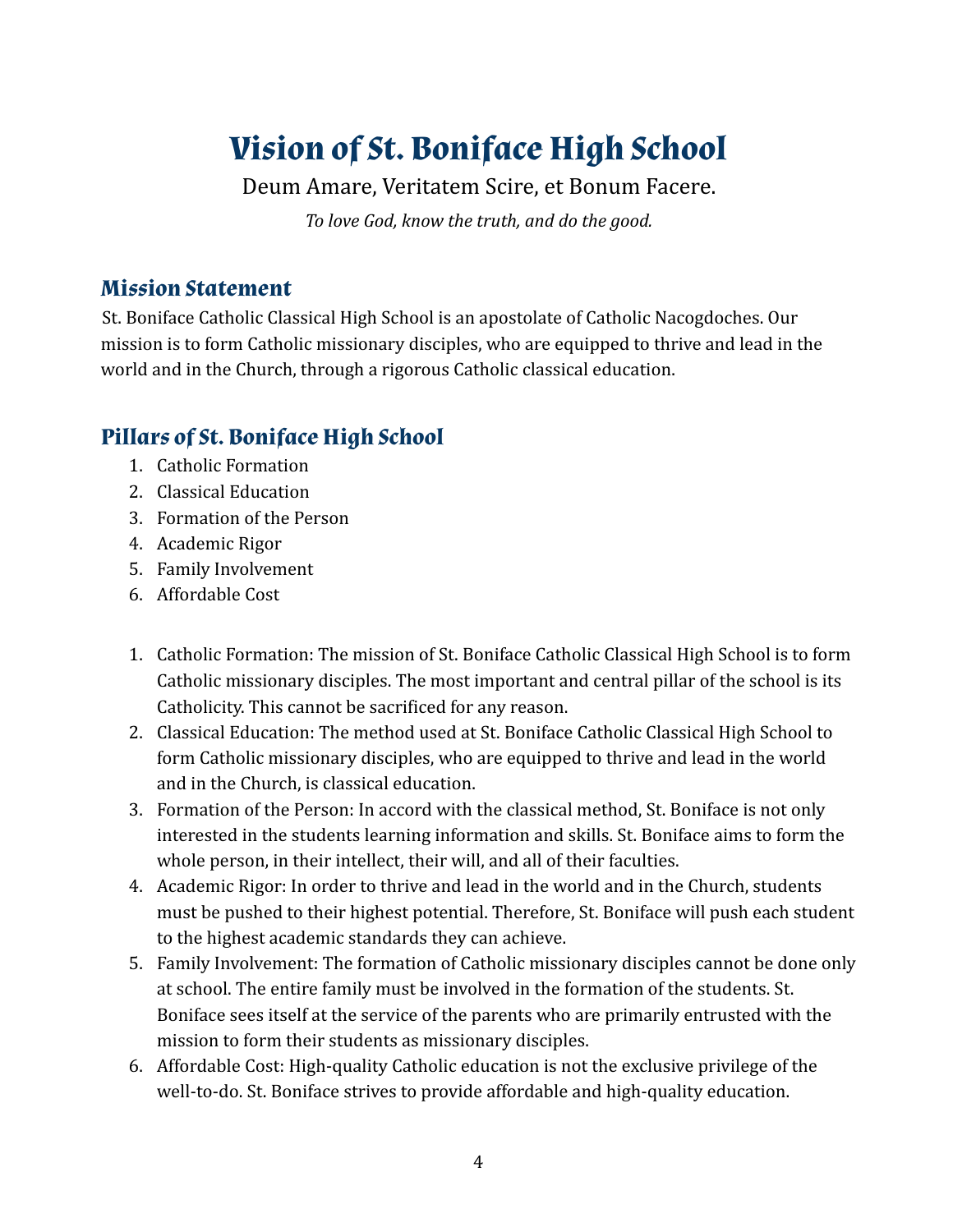## **Vision of St. Boniface High School**

Deum Amare, Veritatem Scire, et Bonum Facere. *To love God, know the truth, and do the good.*

## <span id="page-3-0"></span>**Mission Statement**

St. Boniface Catholic Classical High School is an apostolate of Catholic Nacogdoches. Our mission is to form Catholic missionary disciples, who are equipped to thrive and lead in the world and in the Church, through a rigorous Catholic classical education.

## <span id="page-3-1"></span>**Pillars of St. Boniface High School**

- 1. Catholic Formation
- 2. Classical Education
- 3. Formation of the Person
- 4. Academic Rigor
- 5. Family Involvement
- 6. Affordable Cost
- 1. Catholic Formation: The mission of St. Boniface Catholic Classical High School is to form Catholic missionary disciples. The most important and central pillar of the school is its Catholicity. This cannot be sacrificed for any reason.
- 2. Classical Education: The method used at St. Boniface Catholic Classical High School to form Catholic missionary disciples, who are equipped to thrive and lead in the world and in the Church, is classical education.
- 3. Formation of the Person: In accord with the classical method, St. Boniface is not only interested in the students learning information and skills. St. Boniface aims to form the whole person, in their intellect, their will, and all of their faculties.
- 4. Academic Rigor: In order to thrive and lead in the world and in the Church, students must be pushed to their highest potential. Therefore, St. Boniface will push each student to the highest academic standards they can achieve.
- 5. Family Involvement: The formation of Catholic missionary disciples cannot be done only at school. The entire family must be involved in the formation of the students. St. Boniface sees itself at the service of the parents who are primarily entrusted with the mission to form their students as missionary disciples.
- 6. Affordable Cost: High-quality Catholic education is not the exclusive privilege of the well-to-do. St. Boniface strives to provide affordable and high-quality education.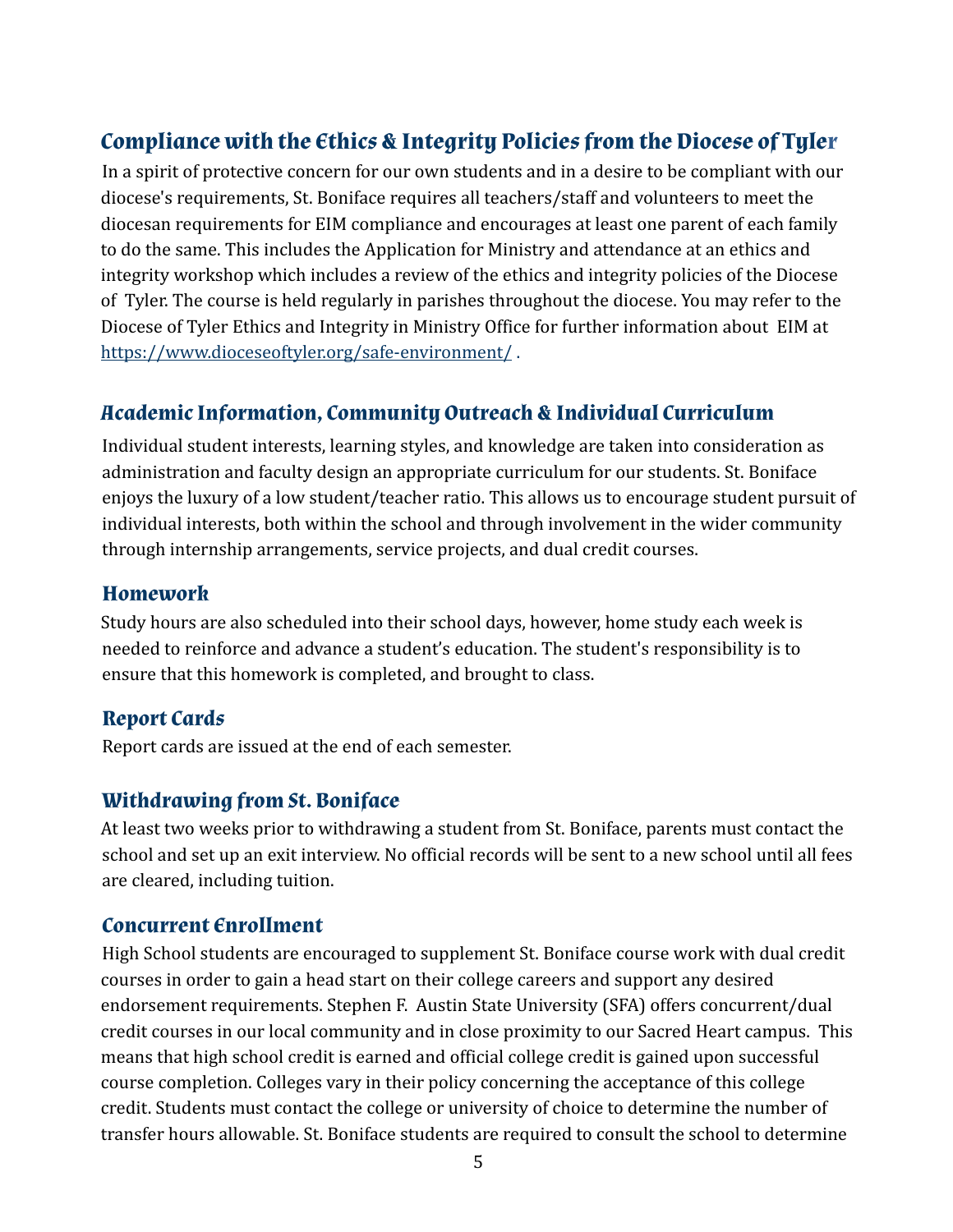## <span id="page-4-0"></span>**Compliance with the Ethics & Integrity Policies from the Diocese of Tyler**

In a spirit of protective concern for our own students and in a desire to be compliant with our diocese's requirements, St. Boniface requires all teachers/staff and volunteers to meet the diocesan requirements for EIM compliance and encourages at least one parent of each family to do the same. This includes the Application for Ministry and attendance at an ethics and integrity workshop which includes a review of the ethics and integrity policies of the Diocese of Tyler. The course is held regularly in parishes throughout the diocese. You may refer to the Diocese of Tyler Ethics and Integrity in Ministry Office for further information about EIM at https://www.dioceseoftyler.org/safe-environment/ .

## <span id="page-4-1"></span>**Academic Information, Community Outreach & Individual Curriculum**

Individual student interests, learning styles, and knowledge are taken into consideration as administration and faculty design an appropriate curriculum for our students. St. Boniface enjoys the luxury of a low student/teacher ratio. This allows us to encourage student pursuit of individual interests, both within the school and through involvement in the wider community through internship arrangements, service projects, and dual credit courses.

#### <span id="page-4-2"></span>**Homework**

Study hours are also scheduled into their school days, however, home study each week is needed to reinforce and advance a student's education. The student's responsibility is to ensure that this homework is completed, and brought to class.

## <span id="page-4-3"></span>**Report Cards**

Report cards are issued at the end of each semester.

## **Withdrawing from St. Boniface**

At least two weeks prior to withdrawing a student from St. Boniface, parents must contact the school and set up an exit interview. No official records will be sent to a new school until all fees are cleared, including tuition.

### <span id="page-4-4"></span>**Concurrent Enrollment**

High School students are encouraged to supplement St. Boniface course work with dual credit courses in order to gain a head start on their college careers and support any desired endorsement requirements. Stephen F. Austin State University (SFA) offers concurrent/dual credit courses in our local community and in close proximity to our Sacred Heart campus. This means that high school credit is earned and official college credit is gained upon successful course completion. Colleges vary in their policy concerning the acceptance of this college credit. Students must contact the college or university of choice to determine the number of transfer hours allowable. St. Boniface students are required to consult the school to determine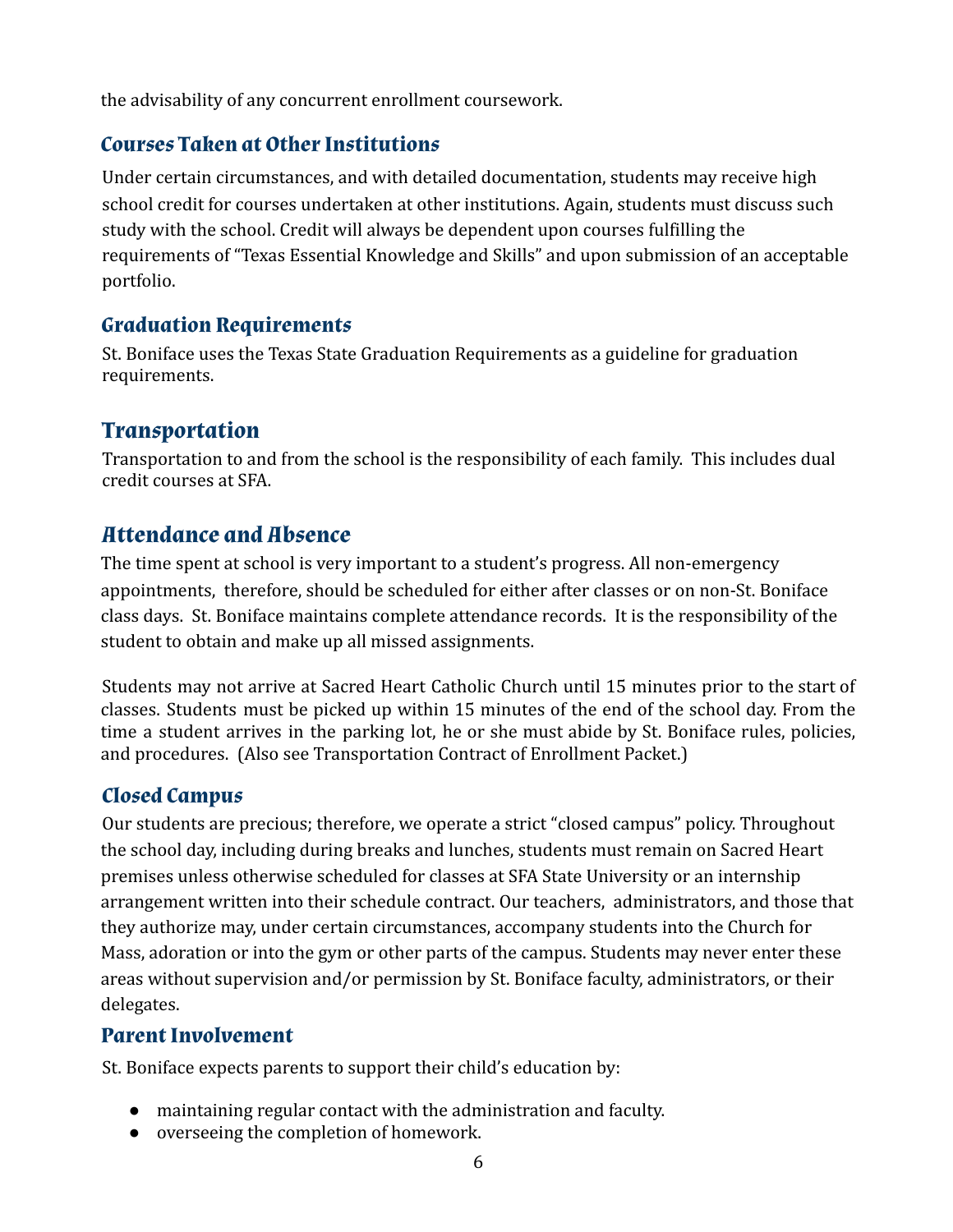the advisability of any concurrent enrollment coursework.

## <span id="page-5-0"></span>**Courses Taken at Other Institutions**

Under certain circumstances, and with detailed documentation, students may receive high school credit for courses undertaken at other institutions. Again, students must discuss such study with the school. Credit will always be dependent upon courses fulfilling the requirements of "Texas Essential Knowledge and Skills" and upon submission of an acceptable portfolio.

## <span id="page-5-1"></span>**Graduation Requirements**

St. Boniface uses the Texas State Graduation Requirements as a guideline for graduation requirements.

## <span id="page-5-2"></span>**Transportation**

Transportation to and from the school is the responsibility of each family. This includes dual credit courses at SFA.

## <span id="page-5-3"></span>**Attendance and Absence**

The time spent at school is very important to a student's progress. All non-emergency appointments, therefore, should be scheduled for either after classes or on non-St. Boniface class days. St. Boniface maintains complete attendance records. It is the responsibility of the student to obtain and make up all missed assignments.

Students may not arrive at Sacred Heart Catholic Church until 15 minutes prior to the start of classes. Students must be picked up within 15 minutes of the end of the school day. From the time a student arrives in the parking lot, he or she must abide by St. Boniface rules, policies, and procedures. (Also see Transportation Contract of Enrollment Packet.)

## <span id="page-5-4"></span>**Closed Campus**

Our students are precious; therefore, we operate a strict "closed campus" policy. Throughout the school day, including during breaks and lunches, students must remain on Sacred Heart premises unless otherwise scheduled for classes at SFA State University or an internship arrangement written into their schedule contract. Our teachers, administrators, and those that they authorize may, under certain circumstances, accompany students into the Church for Mass, adoration or into the gym or other parts of the campus. Students may never enter these areas without supervision and/or permission by St. Boniface faculty, administrators, or their delegates.

## <span id="page-5-5"></span>**Parent Involvement**

St. Boniface expects parents to support their child's education by:

- maintaining regular contact with the administration and faculty.
- overseeing the completion of homework.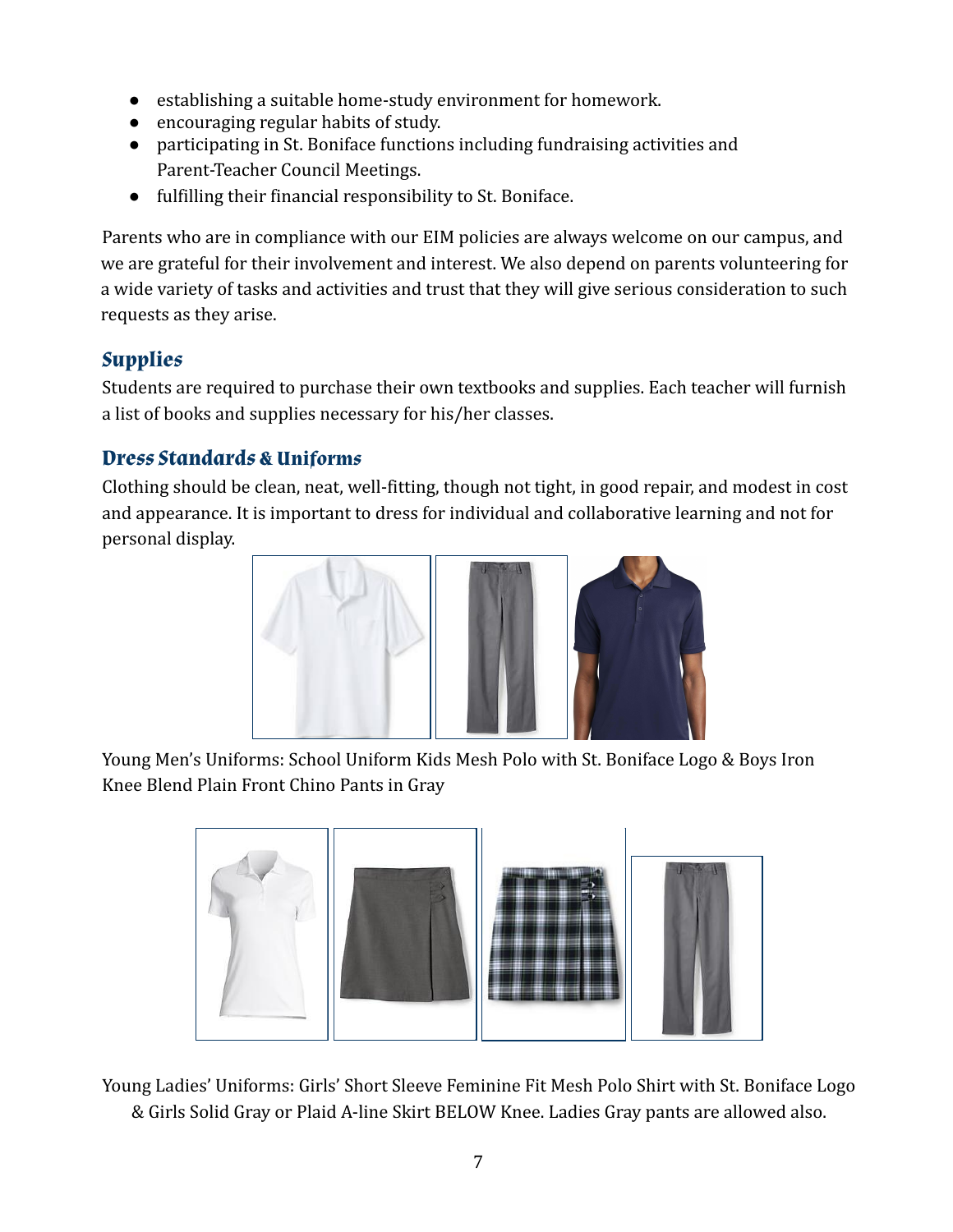- establishing a suitable home-study environment for homework.
- encouraging regular habits of study.
- participating in St. Boniface functions including fundraising activities and Parent-Teacher Council Meetings.
- fulfilling their financial responsibility to St. Boniface.

Parents who are in compliance with our EIM policies are always welcome on our campus, and we are grateful for their involvement and interest. We also depend on parents volunteering for a wide variety of tasks and activities and trust that they will give serious consideration to such requests as they arise.

## <span id="page-6-0"></span>**Supplies**

Students are required to purchase their own textbooks and supplies. Each teacher will furnish a list of books and supplies necessary for his/her classes.

## <span id="page-6-1"></span>**Dress Standards & Uniforms**

Clothing should be clean, neat, well-fitting, though not tight, in good repair, and modest in cost and appearance. It is important to dress for individual and collaborative learning and not for personal display.



Young Men's Uniforms: School Uniform Kids Mesh Polo with St. Boniface Logo & Boys Iron Knee Blend Plain Front Chino Pants in Gray



Young Ladies' Uniforms: Girls' Short Sleeve Feminine Fit Mesh Polo Shirt with St. Boniface Logo & Girls Solid Gray or Plaid A-line Skirt BELOW Knee. Ladies Gray pants are allowed also.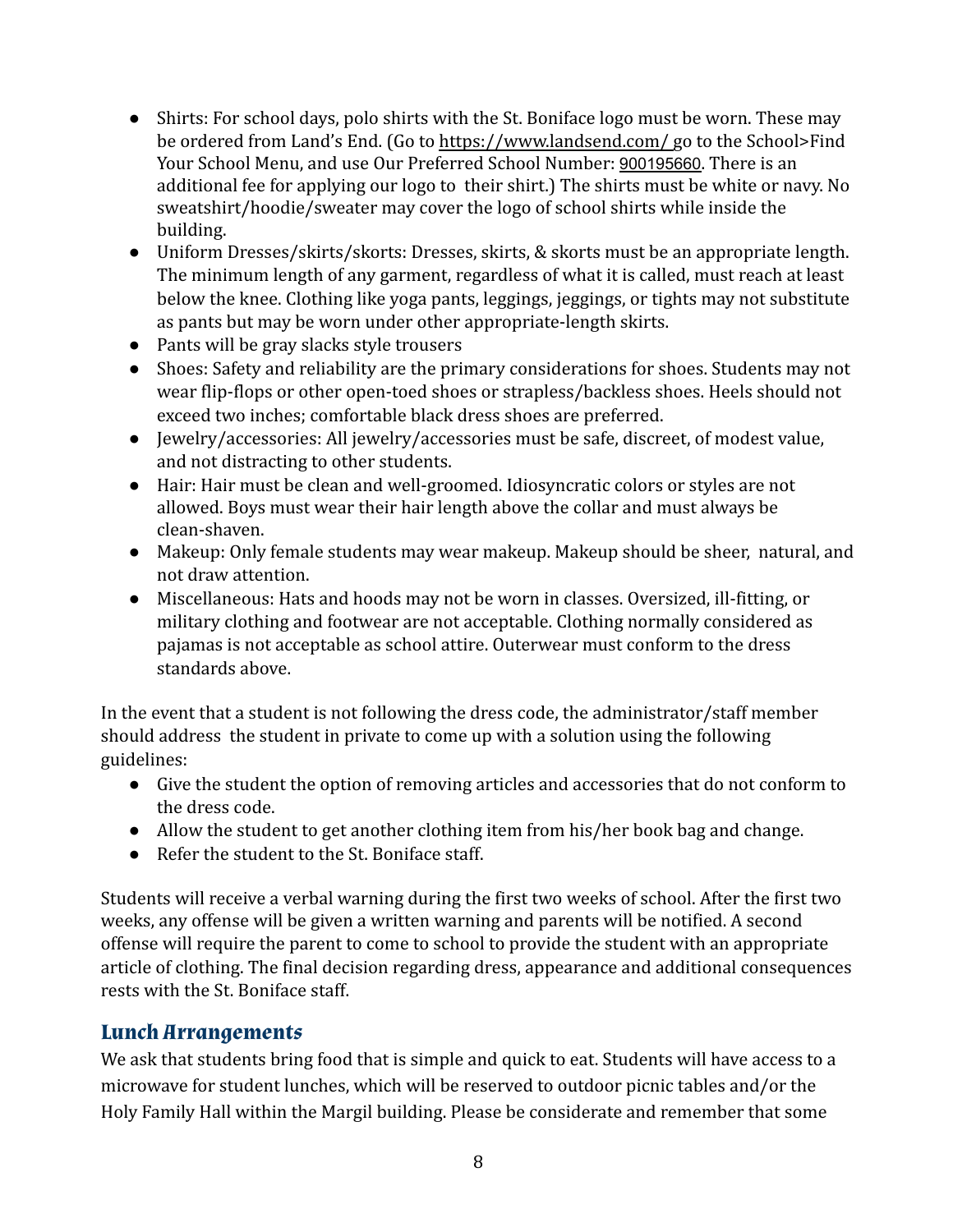- Shirts: For school days, polo shirts with the St. Boniface logo must be worn. These may be ordered from Land's End. (Go to https://www.landsend.com/ go to the School>Find Your School Menu, and use Our Preferred School Number: 900195660. There is an additional fee for applying our logo to their shirt.) The shirts must be white or navy. No sweatshirt/hoodie/sweater may cover the logo of school shirts while inside the building.
- Uniform Dresses/skirts/skorts: Dresses, skirts, & skorts must be an appropriate length. The minimum length of any garment, regardless of what it is called, must reach at least below the knee. Clothing like yoga pants, leggings, jeggings, or tights may not substitute as pants but may be worn under other appropriate-length skirts.
- Pants will be gray slacks style trousers
- Shoes: Safety and reliability are the primary considerations for shoes. Students may not wear flip-flops or other open-toed shoes or strapless/backless shoes. Heels should not exceed two inches; comfortable black dress shoes are preferred.
- Jewelry/accessories: All jewelry/accessories must be safe, discreet, of modest value, and not distracting to other students.
- Hair: Hair must be clean and well-groomed. Idiosyncratic colors or styles are not allowed. Boys must wear their hair length above the collar and must always be clean-shaven.
- Makeup: Only female students may wear makeup. Makeup should be sheer, natural, and not draw attention.
- Miscellaneous: Hats and hoods may not be worn in classes. Oversized, ill-fitting, or military clothing and footwear are not acceptable. Clothing normally considered as pajamas is not acceptable as school attire. Outerwear must conform to the dress standards above.

In the event that a student is not following the dress code, the administrator/staff member should address the student in private to come up with a solution using the following guidelines:

- Give the student the option of removing articles and accessories that do not conform to the dress code.
- Allow the student to get another clothing item from his/her book bag and change.
- Refer the student to the St. Boniface staff.

Students will receive a verbal warning during the first two weeks of school. After the first two weeks, any offense will be given a written warning and parents will be notified. A second offense will require the parent to come to school to provide the student with an appropriate article of clothing. The final decision regarding dress, appearance and additional consequences rests with the St. Boniface staff.

## <span id="page-7-0"></span>**Lunch Arrangements**

We ask that students bring food that is simple and quick to eat. Students will have access to a microwave for student lunches, which will be reserved to outdoor picnic tables and/or the Holy Family Hall within the Margil building. Please be considerate and remember that some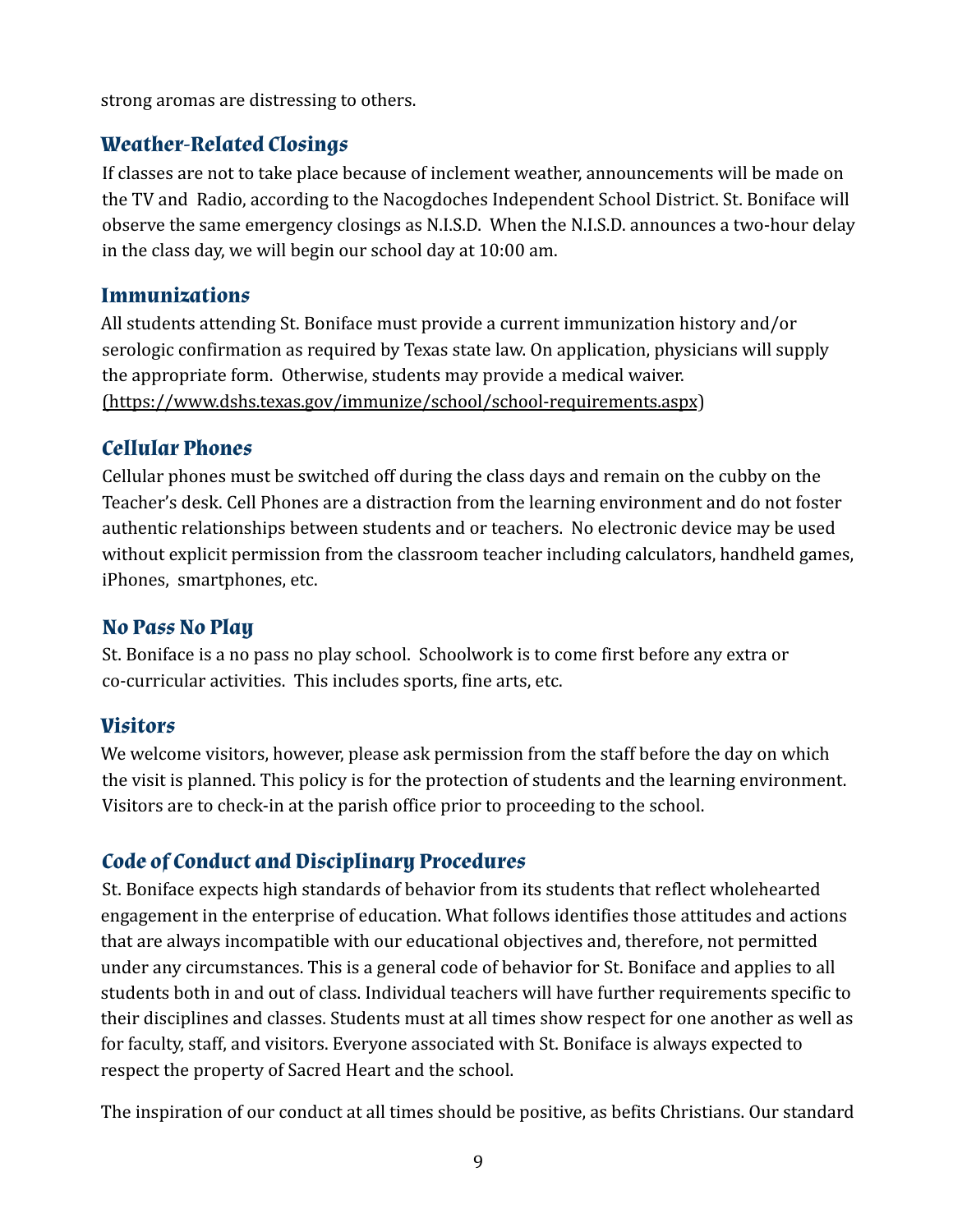strong aromas are distressing to others.

## <span id="page-8-0"></span>**Weather-Related Closings**

If classes are not to take place because of inclement weather, announcements will be made on the TV and Radio, according to the Nacogdoches Independent School District. St. Boniface will observe the same emergency closings as N.I.S.D. When the N.I.S.D. announces a two-hour delay in the class day, we will begin our school day at 10:00 am.

#### <span id="page-8-1"></span>**Immunizations**

All students attending St. Boniface must provide a current immunization history and/or serologic confirmation as required by Texas state law. On application, physicians will supply the appropriate form. Otherwise, students may provide a medical waiver. (https://www.dshs.texas.gov/immunize/school/school-requirements.aspx)

#### <span id="page-8-2"></span>**Cellular Phones**

Cellular phones must be switched off during the class days and remain on the cubby on the Teacher's desk. Cell Phones are a distraction from the learning environment and do not foster authentic relationships between students and or teachers. No electronic device may be used without explicit permission from the classroom teacher including calculators, handheld games, iPhones, smartphones, etc.

## **No Pass No Play**

St. Boniface is a no pass no play school. Schoolwork is to come first before any extra or co-curricular activities. This includes sports, fine arts, etc.

## <span id="page-8-3"></span>**Visitors**

We welcome visitors, however, please ask permission from the staff before the day on which the visit is planned. This policy is for the protection of students and the learning environment. Visitors are to check-in at the parish office prior to proceeding to the school.

## <span id="page-8-4"></span>**Code of Conduct and Disciplinary Procedures**

St. Boniface expects high standards of behavior from its students that reflect wholehearted engagement in the enterprise of education. What follows identifies those attitudes and actions that are always incompatible with our educational objectives and, therefore, not permitted under any circumstances. This is a general code of behavior for St. Boniface and applies to all students both in and out of class. Individual teachers will have further requirements specific to their disciplines and classes. Students must at all times show respect for one another as well as for faculty, staff, and visitors. Everyone associated with St. Boniface is always expected to respect the property of Sacred Heart and the school.

The inspiration of our conduct at all times should be positive, as befits Christians. Our standard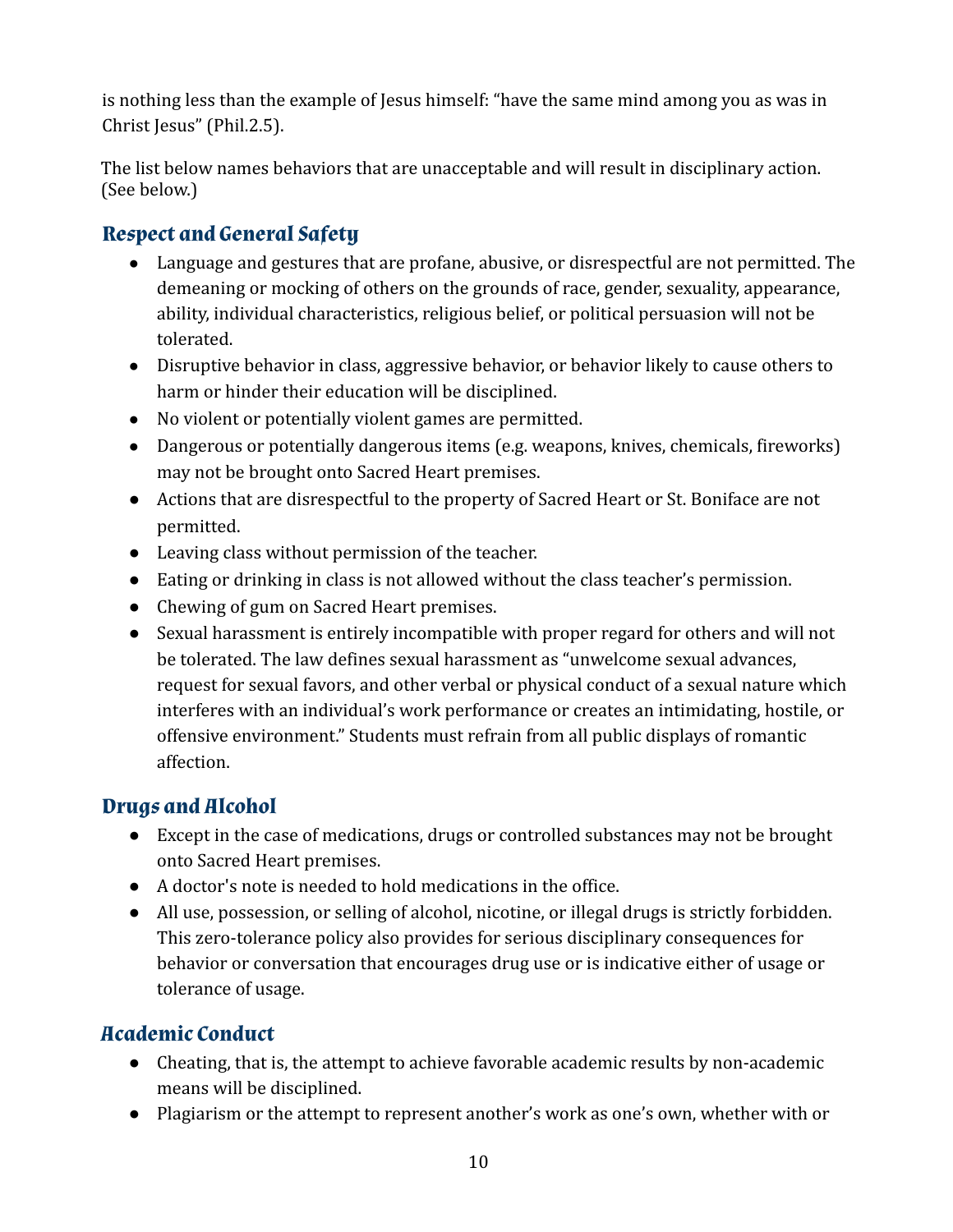is nothing less than the example of Jesus himself: "have the same mind among you as was in Christ Jesus" (Phil.2.5).

The list below names behaviors that are unacceptable and will result in disciplinary action. (See below.)

## <span id="page-9-0"></span>**Respect and General Safety**

- Language and gestures that are profane, abusive, or disrespectful are not permitted. The demeaning or mocking of others on the grounds of race, gender, sexuality, appearance, ability, individual characteristics, religious belief, or political persuasion will not be tolerated.
- Disruptive behavior in class, aggressive behavior, or behavior likely to cause others to harm or hinder their education will be disciplined.
- No violent or potentially violent games are permitted.
- Dangerous or potentially dangerous items (e.g. weapons, knives, chemicals, fireworks) may not be brought onto Sacred Heart premises.
- Actions that are disrespectful to the property of Sacred Heart or St. Boniface are not permitted.
- Leaving class without permission of the teacher.
- Eating or drinking in class is not allowed without the class teacher's permission.
- Chewing of gum on Sacred Heart premises.
- Sexual harassment is entirely incompatible with proper regard for others and will not be tolerated. The law defines sexual harassment as "unwelcome sexual advances, request for sexual favors, and other verbal or physical conduct of a sexual nature which interferes with an individual's work performance or creates an intimidating, hostile, or offensive environment." Students must refrain from all public displays of romantic affection.

## <span id="page-9-1"></span>**Drugs and Alcohol**

- Except in the case of medications, drugs or controlled substances may not be brought onto Sacred Heart premises.
- A doctor's note is needed to hold medications in the office.
- All use, possession, or selling of alcohol, nicotine, or illegal drugs is strictly forbidden. This zero-tolerance policy also provides for serious disciplinary consequences for behavior or conversation that encourages drug use or is indicative either of usage or tolerance of usage.

## <span id="page-9-2"></span>**Academic Conduct**

- Cheating, that is, the attempt to achieve favorable academic results by non-academic means will be disciplined.
- Plagiarism or the attempt to represent another's work as one's own, whether with or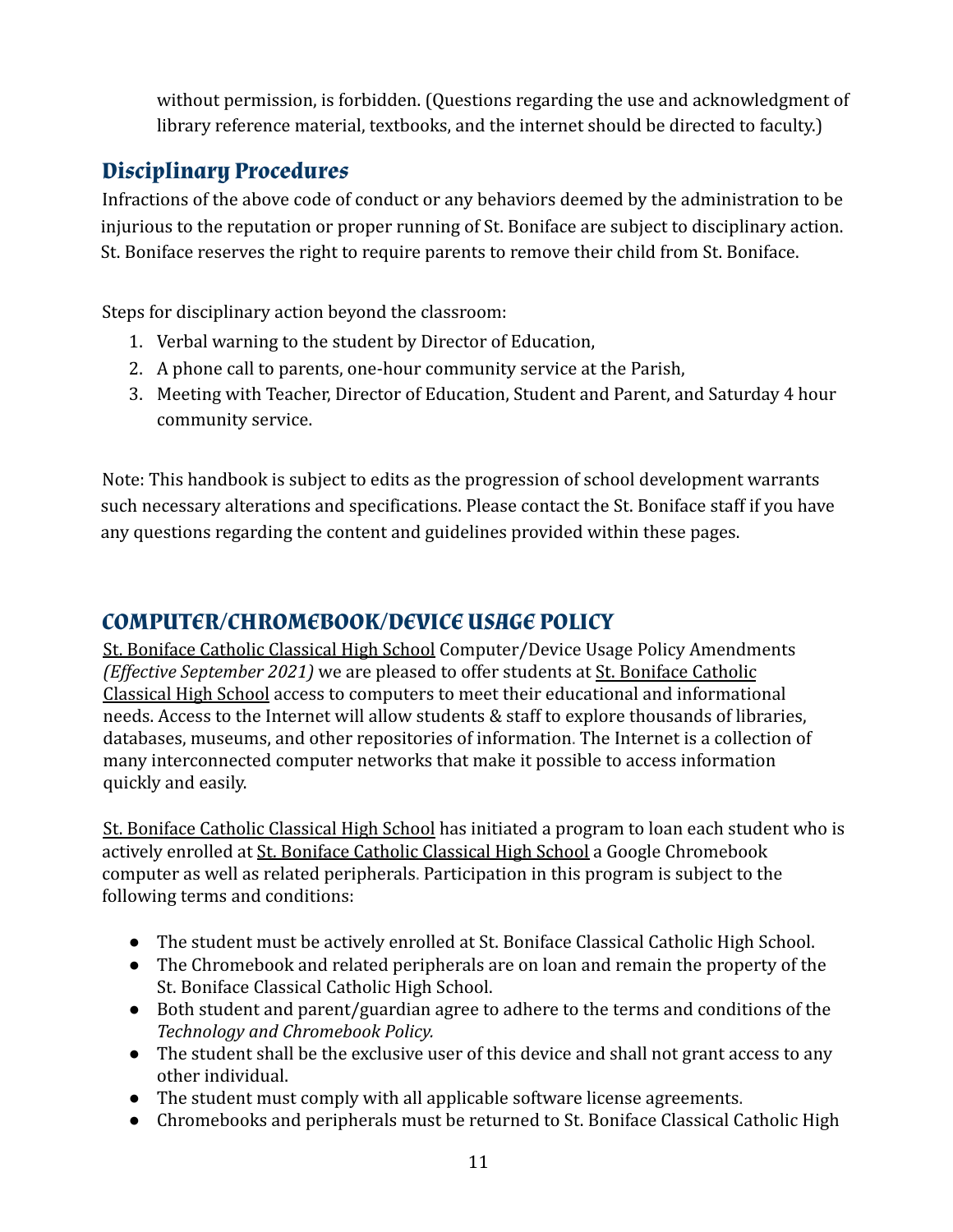without permission, is forbidden. (Questions regarding the use and acknowledgment of library reference material, textbooks, and the internet should be directed to faculty.)

## <span id="page-10-0"></span>**Disciplinary Procedures**

Infractions of the above code of conduct or any behaviors deemed by the administration to be injurious to the reputation or proper running of St. Boniface are subject to disciplinary action. St. Boniface reserves the right to require parents to remove their child from St. Boniface.

Steps for disciplinary action beyond the classroom:

- 1. Verbal warning to the student by Director of Education,
- 2. A phone call to parents, one-hour community service at the Parish,
- 3. Meeting with Teacher, Director of Education, Student and Parent, and Saturday 4 hour community service.

Note: This handbook is subject to edits as the progression of school development warrants such necessary alterations and specifications. Please contact the St. Boniface staff if you have any questions regarding the content and guidelines provided within these pages.

## **COMPUTER/CHROMEBOOK/DEVICE USAGE POLICY**

St. Boniface Catholic Classical High School Computer/Device Usage Policy Amendments *(Effective September 2021)* we are pleased to offer students at St. Boniface Catholic Classical High School access to computers to meet their educational and informational needs. Access to the Internet will allow students & staff to explore thousands of libraries, databases, museums, and other repositories of information. The Internet is a collection of many interconnected computer networks that make it possible to access information quickly and easily.

St. Boniface Catholic Classical High School has initiated a program to loan each student who is actively enrolled at St. Boniface Catholic Classical High School a Google Chromebook computer as well as related peripherals. Participation in this program is subject to the following terms and conditions:

- The student must be actively enrolled at St. Boniface Classical Catholic High School.
- The Chromebook and related peripherals are on loan and remain the property of the St. Boniface Classical Catholic High School.
- Both student and parent/guardian agree to adhere to the terms and conditions of the *Technology and Chromebook Policy.*
- The student shall be the exclusive user of this device and shall not grant access to any other individual.
- The student must comply with all applicable software license agreements.
- Chromebooks and peripherals must be returned to St. Boniface Classical Catholic High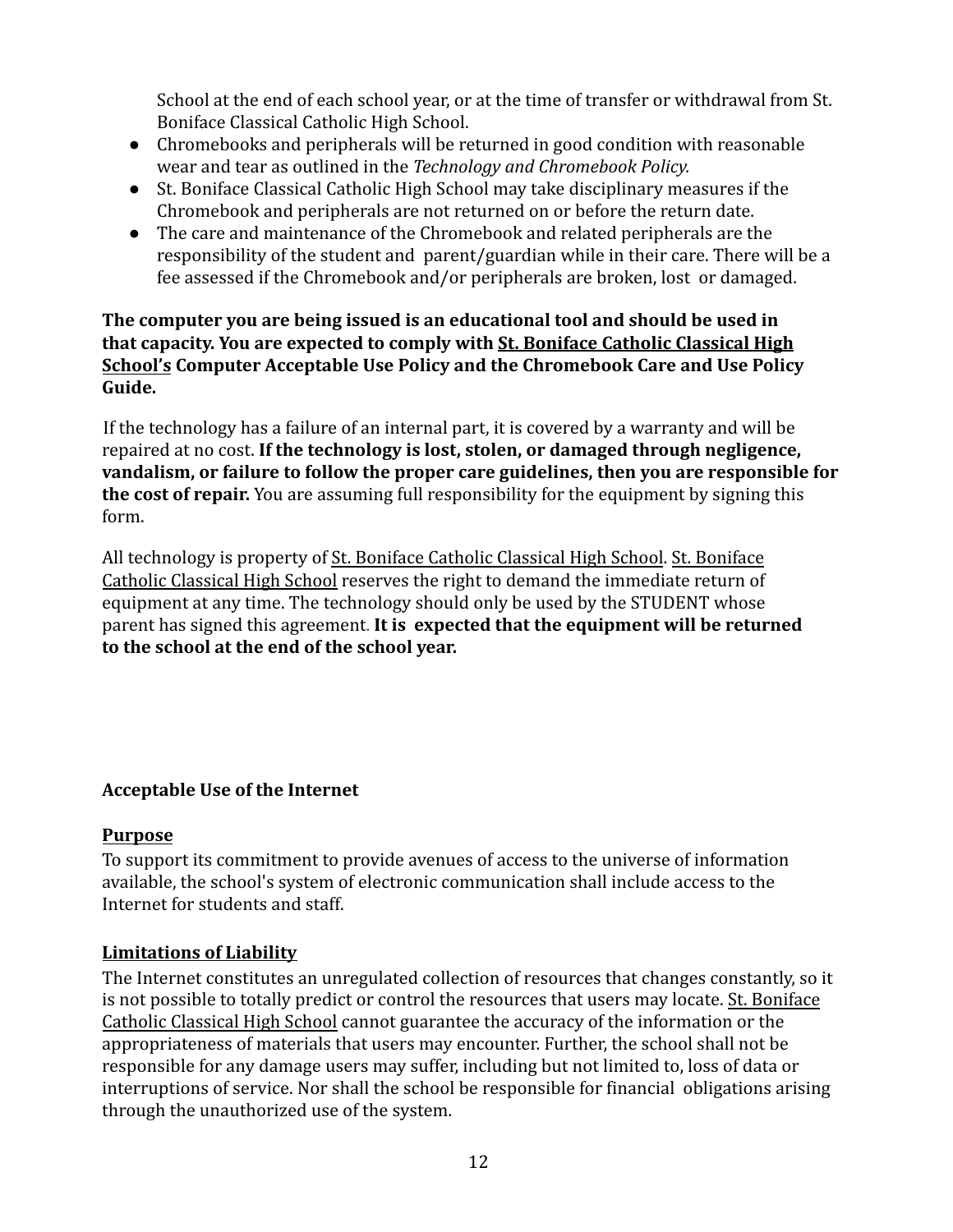School at the end of each school year, or at the time of transfer or withdrawal from St. Boniface Classical Catholic High School.

- Chromebooks and peripherals will be returned in good condition with reasonable wear and tear as outlined in the *Technology and Chromebook Policy.*
- St. Boniface Classical Catholic High School may take disciplinary measures if the Chromebook and peripherals are not returned on or before the return date.
- The care and maintenance of the Chromebook and related peripherals are the responsibility of the student and parent/guardian while in their care. There will be a fee assessed if the Chromebook and/or peripherals are broken, lost or damaged.

#### **The computer you are being issued is an educational tool and should be used in that capacity. You are expected to comply with St. Boniface Catholic Classical High School's Computer Acceptable Use Policy and the Chromebook Care and Use Policy Guide.**

If the technology has a failure of an internal part, it is covered by a warranty and will be repaired at no cost. **If the technology is lost, stolen, or damaged through negligence, vandalism, or failure to follow the proper care guidelines, then you are responsible for the cost of repair.** You are assuming full responsibility for the equipment by signing this form.

All technology is property of St. Boniface Catholic Classical High School. St. Boniface Catholic Classical High School reserves the right to demand the immediate return of equipment at any time. The technology should only be used by the STUDENT whose parent has signed this agreement. **It is expected that the equipment will be returned to the school at the end of the school year.**

### **Acceptable Use of the Internet**

#### **Purpose**

To support its commitment to provide avenues of access to the universe of information available, the school's system of electronic communication shall include access to the Internet for students and staff.

### **Limitations of Liability**

The Internet constitutes an unregulated collection of resources that changes constantly, so it is not possible to totally predict or control the resources that users may locate. St. Boniface Catholic Classical High School cannot guarantee the accuracy of the information or the appropriateness of materials that users may encounter. Further, the school shall not be responsible for any damage users may suffer, including but not limited to, loss of data or interruptions of service. Nor shall the school be responsible for financial obligations arising through the unauthorized use of the system.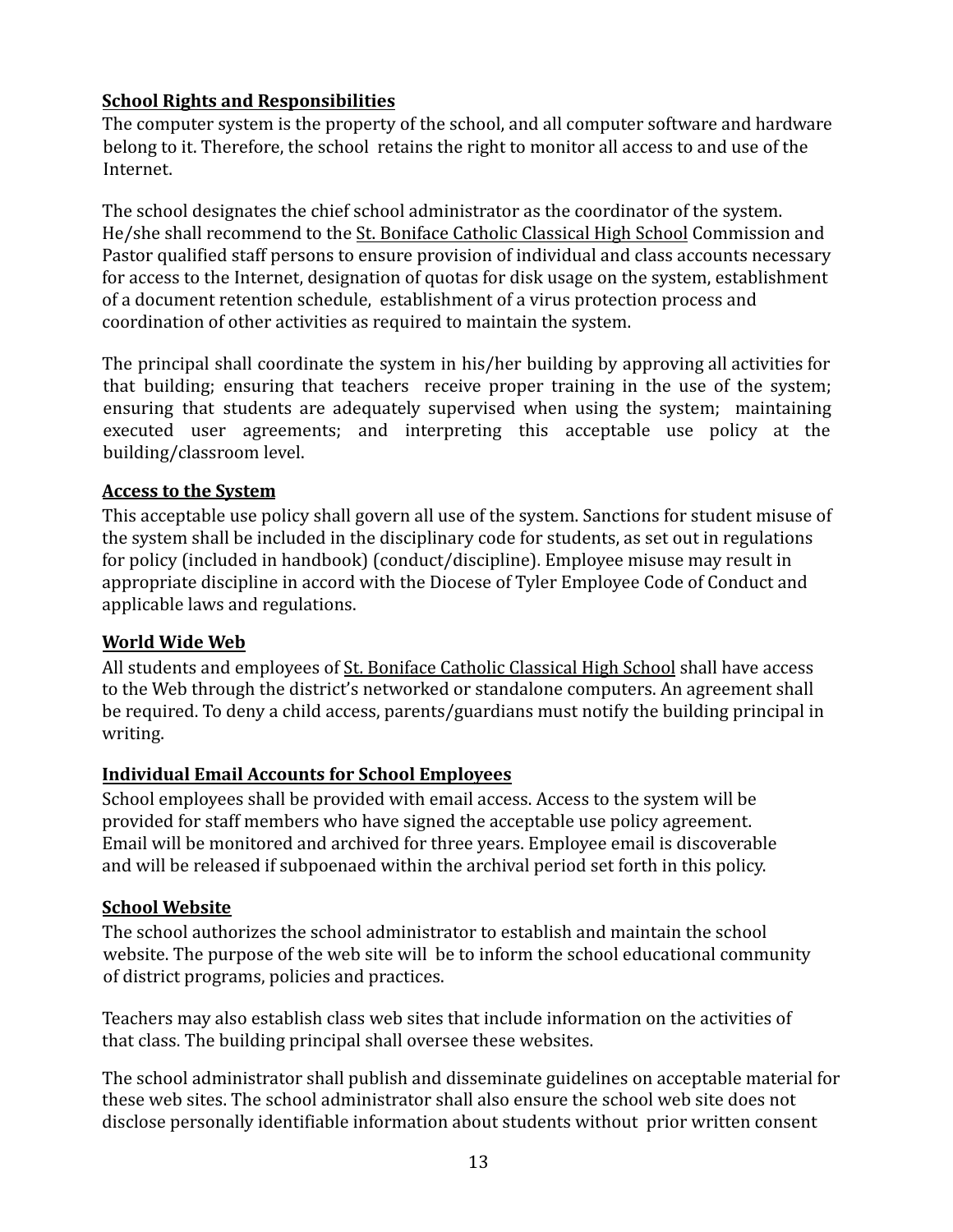#### **School Rights and Responsibilities**

The computer system is the property of the school, and all computer software and hardware belong to it. Therefore, the school retains the right to monitor all access to and use of the Internet.

The school designates the chief school administrator as the coordinator of the system. He/she shall recommend to the St. Boniface Catholic Classical High School Commission and Pastor qualified staff persons to ensure provision of individual and class accounts necessary for access to the Internet, designation of quotas for disk usage on the system, establishment of a document retention schedule, establishment of a virus protection process and coordination of other activities as required to maintain the system.

The principal shall coordinate the system in his/her building by approving all activities for that building; ensuring that teachers receive proper training in the use of the system; ensuring that students are adequately supervised when using the system; maintaining executed user agreements; and interpreting this acceptable use policy at the building/classroom level.

#### **Access to the System**

This acceptable use policy shall govern all use of the system. Sanctions for student misuse of the system shall be included in the disciplinary code for students, as set out in regulations for policy (included in handbook) (conduct/discipline). Employee misuse may result in appropriate discipline in accord with the Diocese of Tyler Employee Code of Conduct and applicable laws and regulations.

#### **World Wide Web**

All students and employees of St. Boniface Catholic Classical High School shall have access to the Web through the district's networked or standalone computers. An agreement shall be required. To deny a child access, parents/guardians must notify the building principal in writing.

### **Individual Email Accounts for School Employees**

School employees shall be provided with email access. Access to the system will be provided for staff members who have signed the acceptable use policy agreement. Email will be monitored and archived for three years. Employee email is discoverable and will be released if subpoenaed within the archival period set forth in this policy.

#### **School Website**

The school authorizes the school administrator to establish and maintain the school website. The purpose of the web site will be to inform the school educational community of district programs, policies and practices.

Teachers may also establish class web sites that include information on the activities of that class. The building principal shall oversee these websites.

The school administrator shall publish and disseminate guidelines on acceptable material for these web sites. The school administrator shall also ensure the school web site does not disclose personally identifiable information about students without prior written consent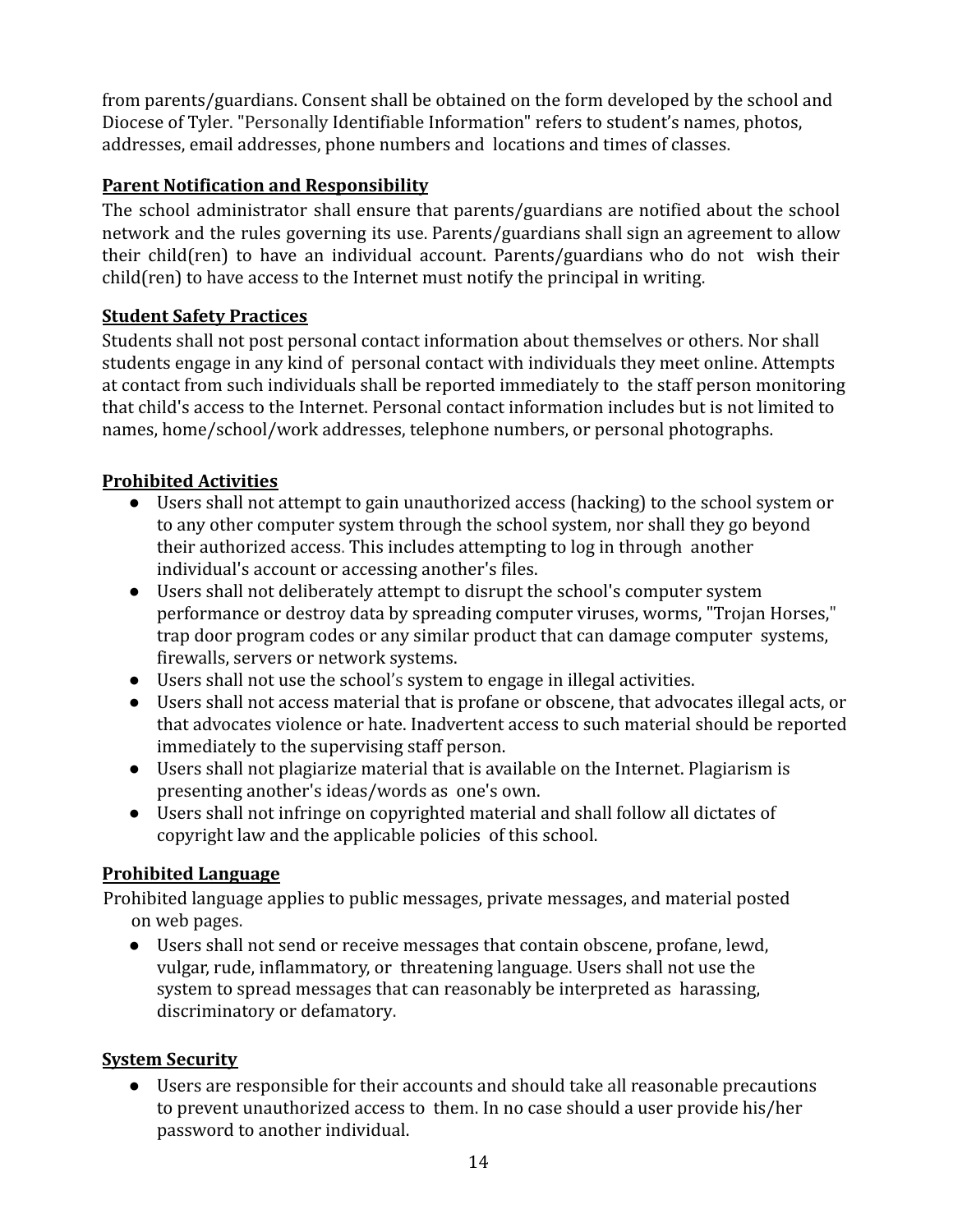from parents/guardians. Consent shall be obtained on the form developed by the school and Diocese of Tyler. "Personally Identifiable Information" refers to student's names, photos, addresses, email addresses, phone numbers and locations and times of classes.

#### **Parent Notification and Responsibility**

The school administrator shall ensure that parents/guardians are notified about the school network and the rules governing its use. Parents/guardians shall sign an agreement to allow their child(ren) to have an individual account. Parents/guardians who do not wish their child(ren) to have access to the Internet must notify the principal in writing.

#### **Student Safety Practices**

Students shall not post personal contact information about themselves or others. Nor shall students engage in any kind of personal contact with individuals they meet online. Attempts at contact from such individuals shall be reported immediately to the staff person monitoring that child's access to the Internet. Personal contact information includes but is not limited to names, home/school/work addresses, telephone numbers, or personal photographs.

#### **Prohibited Activities**

- Users shall not attempt to gain unauthorized access (hacking) to the school system or to any other computer system through the school system, nor shall they go beyond their authorized access. This includes attempting to log in through another individual's account or accessing another's files.
- Users shall not deliberately attempt to disrupt the school's computer system performance or destroy data by spreading computer viruses, worms, "Trojan Horses," trap door program codes or any similar product that can damage computer systems, firewalls, servers or network systems.
- Users shall not use the school's system to engage in illegal activities.
- Users shall not access material that is profane or obscene, that advocates illegal acts, or that advocates violence or hate. Inadvertent access to such material should be reported immediately to the supervising staff person.
- Users shall not plagiarize material that is available on the Internet. Plagiarism is presenting another's ideas/words as one's own.
- Users shall not infringe on copyrighted material and shall follow all dictates of copyright law and the applicable policies of this school.

### **Prohibited Language**

Prohibited language applies to public messages, private messages, and material posted on web pages.

● Users shall not send or receive messages that contain obscene, profane, lewd, vulgar, rude, inflammatory, or threatening language. Users shall not use the system to spread messages that can reasonably be interpreted as harassing, discriminatory or defamatory.

#### **System Security**

● Users are responsible for their accounts and should take all reasonable precautions to prevent unauthorized access to them. In no case should a user provide his/her password to another individual.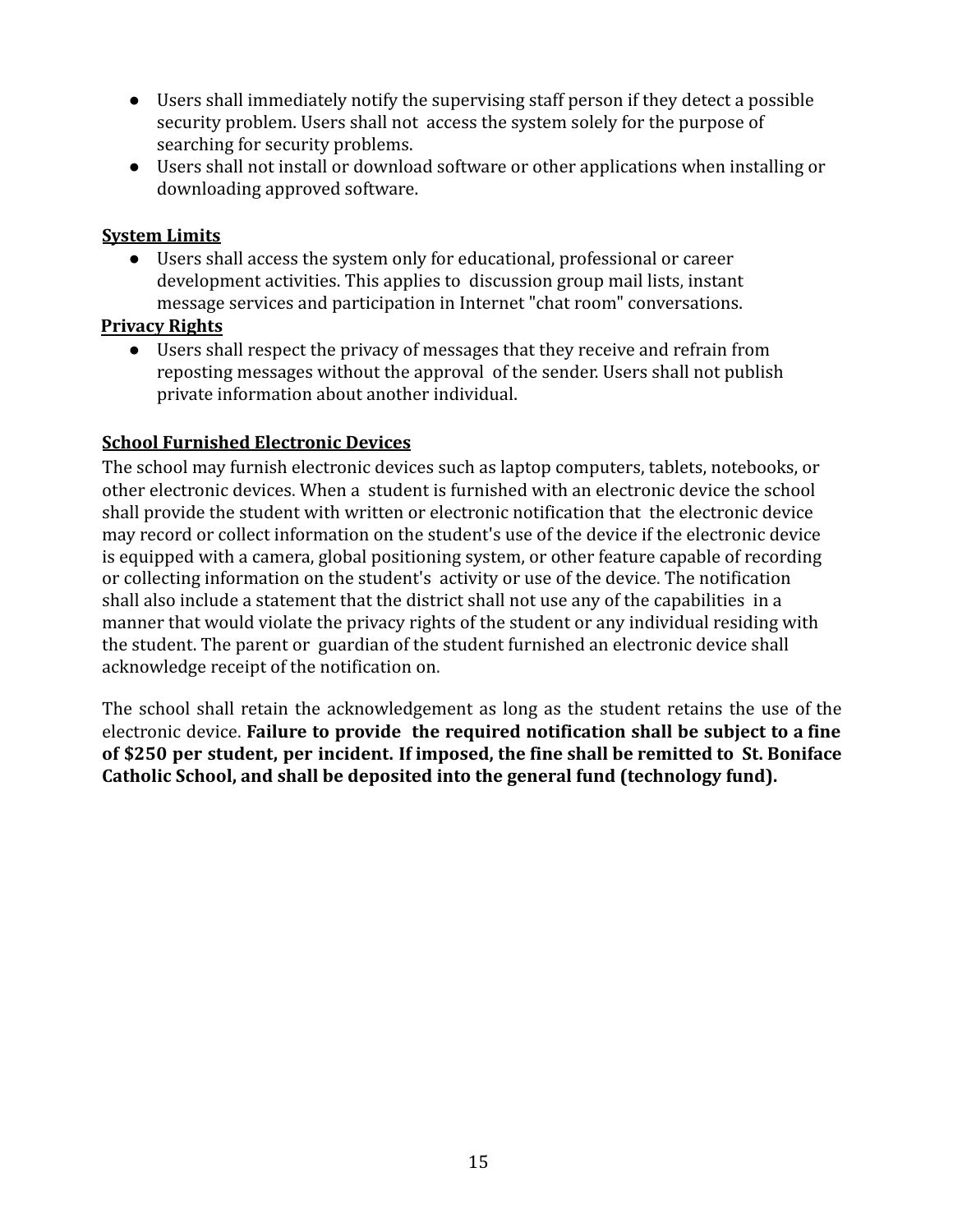- Users shall immediately notify the supervising staff person if they detect a possible security problem. Users shall not access the system solely for the purpose of searching for security problems.
- Users shall not install or download software or other applications when installing or downloading approved software.

#### **System Limits**

● Users shall access the system only for educational, professional or career development activities. This applies to discussion group mail lists, instant message services and participation in Internet "chat room" conversations.

#### **Privacy Rights**

● Users shall respect the privacy of messages that they receive and refrain from reposting messages without the approval of the sender. Users shall not publish private information about another individual.

#### **School Furnished Electronic Devices**

The school may furnish electronic devices such as laptop computers, tablets, notebooks, or other electronic devices. When a student is furnished with an electronic device the school shall provide the student with written or electronic notification that the electronic device may record or collect information on the student's use of the device if the electronic device is equipped with a camera, global positioning system, or other feature capable of recording or collecting information on the student's activity or use of the device. The notification shall also include a statement that the district shall not use any of the capabilities in a manner that would violate the privacy rights of the student or any individual residing with the student. The parent or guardian of the student furnished an electronic device shall acknowledge receipt of the notification on.

The school shall retain the acknowledgement as long as the student retains the use of the electronic device. **Failure to provide the required notification shall be subject to a fine of \$250 per student, per incident. If imposed, the fine shall be remitted to St. Boniface Catholic School, and shall be deposited into the general fund (technology fund).**